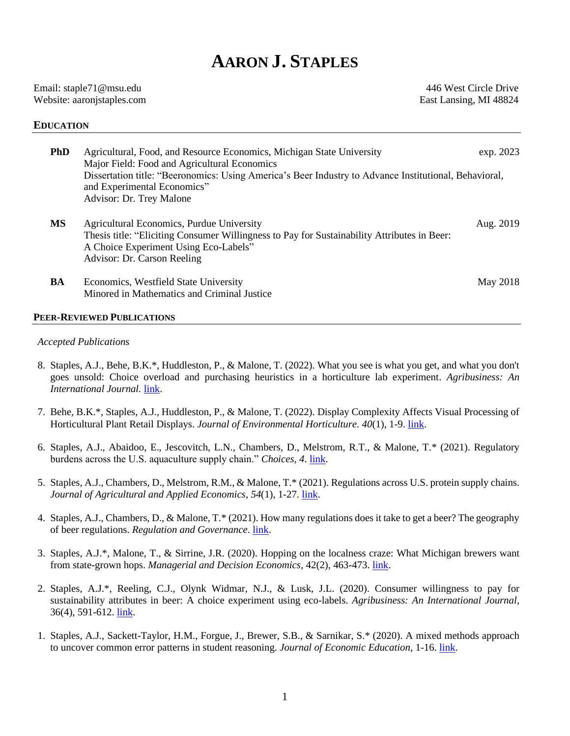# **AARON J. STAPLES**

| Email: staple71@msu.edu    |
|----------------------------|
| Website: aaronjstaples.com |

446 West Circle Drive East Lansing, MI 48824

# **EDUCATION**

| <b>PhD</b> | Agricultural, Food, and Resource Economics, Michigan State University<br>Major Field: Food and Agricultural Economics<br>Dissertation title: "Beeronomics: Using America's Beer Industry to Advance Institutional, Behavioral,<br>and Experimental Economics"<br>Advisor: Dr. Trey Malone | exp. 2023 |
|------------|-------------------------------------------------------------------------------------------------------------------------------------------------------------------------------------------------------------------------------------------------------------------------------------------|-----------|
| <b>MS</b>  | Agricultural Economics, Purdue University<br>Thesis title: "Eliciting Consumer Willingness to Pay for Sustainability Attributes in Beer:<br>A Choice Experiment Using Eco-Labels"<br>Advisor: Dr. Carson Reeling                                                                          | Aug. 2019 |
| BA         | Economics, Westfield State University<br>Minored in Mathematics and Criminal Justice                                                                                                                                                                                                      | May 2018  |

# **PEER-REVIEWED PUBLICATIONS**

## *Accepted Publications*

- 8. Staples, A.J., Behe, B.K.\*, Huddleston, P., & Malone, T. (2022). What you see is what you get, and what you don't goes unsold: Choice overload and purchasing heuristics in a horticulture lab experiment. *Agribusiness: An International Journal.* [link.](https://doi.org/10.1002/agr.21736)
- 7. Behe, B.K.\*, Staples, A.J., Huddleston, P., & Malone, T. (2022). Display Complexity Affects Visual Processing of Horticultural Plant Retail Displays. *Journal of Environmental Horticulture. 40*(1), 1-9. [link.](https://doi-org.proxy1.cl.msu.edu/10.24266/0738-2898-40.1.1)
- 6. Staples, A.J., Abaidoo, E., Jescovitch, L.N., Chambers, D., Melstrom, R.T., & Malone, T.\* (2021). Regulatory burdens across the U.S. aquaculture supply chain." *Choices, 4*. [link.](https://www.choicesmagazine.org/choices-magazine/theme-articles/the-economics-of-us-aquaculture/regulatory-landscape-of-the-us-aquaculture-supply-chain)
- 5. Staples, A.J., Chambers, D., Melstrom, R.M., & Malone, T.\* (2021). Regulations across U.S. protein supply chains. *Journal of Agricultural and Applied Economics*, *54*(1), 1-27. [link.](https://doi.org/10.1017/aae.2021.28)
- 4. Staples, A.J., Chambers, D., & Malone, T.\* (2021). How many regulations does it take to get a beer? The geography of beer regulations. *Regulation and Governance*. [link.](https://doi.org/10.1111/rego.12403)
- 3. Staples, A.J.\*, Malone, T., & Sirrine, J.R. (2020). Hopping on the localness craze: What Michigan brewers want from state-grown hops. *Managerial and Decision Economics*, 42(2), 463-473. *link*.
- 2. Staples, A.J.\*, Reeling, C.J., Olynk Widmar, N.J., & Lusk, J.L. (2020). Consumer willingness to pay for sustainability attributes in beer: A choice experiment using eco-labels. *Agribusiness: An International Journal*, 36(4), 591-612. [link.](http://dx.doi.org/10.1002/agr.21655)
- 1. Staples, A.J., Sackett-Taylor, H.M., Forgue, J., Brewer, S.B., & Sarnikar, S.\* (2020). A mixed methods approach to uncover common error patterns in student reasoning. *Journal of Economic Education*, 1-16. [link.](https://www.tandfonline.com/doi/full/10.1080/00220485.2020.1804500)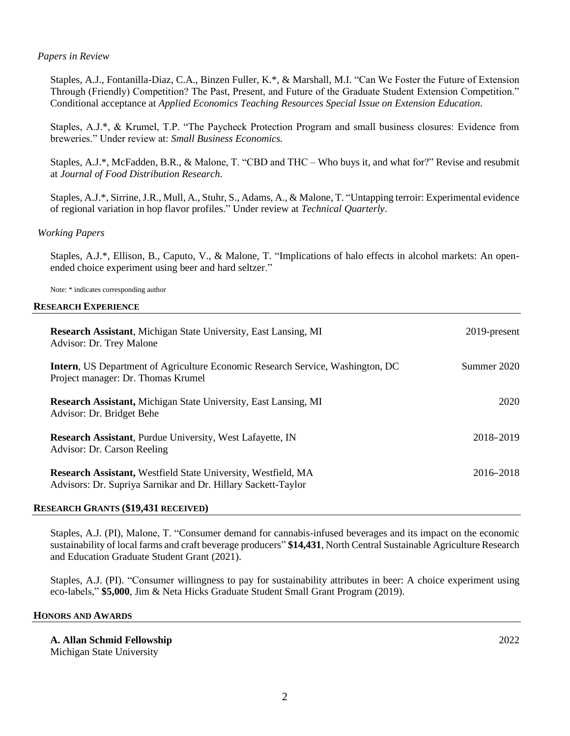# *Papers in Review*

Staples, A.J., Fontanilla-Diaz, C.A., Binzen Fuller, K.\*, & Marshall, M.I. "Can We Foster the Future of Extension Through (Friendly) Competition? The Past, Present, and Future of the Graduate Student Extension Competition." Conditional acceptance at *Applied Economics Teaching Resources Special Issue on Extension Education*.

Staples, A.J.\*, & Krumel, T.P. "The Paycheck Protection Program and small business closures: Evidence from breweries." Under review at: *Small Business Economics.*

Staples, A.J.\*, McFadden, B.R., & Malone, T. "CBD and THC – Who buys it, and what for?" Revise and resubmit at *Journal of Food Distribution Research.* 

Staples, A.J.\*, Sirrine, J.R., Mull, A., Stuhr, S., Adams, A., & Malone, T. "Untapping terroir: Experimental evidence of regional variation in hop flavor profiles." Under review at *Technical Quarterly*.

# *Working Papers*

Staples, A.J.\*, Ellison, B., Caputo, V., & Malone, T. "Implications of halo effects in alcohol markets: An openended choice experiment using beer and hard seltzer."

Note: \* indicates corresponding author

## **RESEARCH EXPERIENCE**

| <b>Research Assistant, Michigan State University, East Lansing, MI</b><br>Advisor: Dr. Trey Malone                             | 2019-present |
|--------------------------------------------------------------------------------------------------------------------------------|--------------|
| <b>Intern, US Department of Agriculture Economic Research Service, Washington, DC</b><br>Project manager: Dr. Thomas Krumel    | Summer 2020  |
| <b>Research Assistant, Michigan State University, East Lansing, MI</b><br>Advisor: Dr. Bridget Behe                            | 2020         |
| <b>Research Assistant, Purdue University, West Lafayette, IN</b><br>Advisor: Dr. Carson Reeling                                | 2018-2019    |
| Research Assistant, Westfield State University, Westfield, MA<br>Advisors: Dr. Supriya Sarnikar and Dr. Hillary Sackett-Taylor | 2016-2018    |

## **RESEARCH GRANTS (\$19,431 RECEIVED)**

Staples, A.J. (PI), Malone, T. "Consumer demand for cannabis-infused beverages and its impact on the economic sustainability of local farms and craft beverage producers" **\$14,431**, North Central Sustainable Agriculture Research and Education Graduate Student Grant (2021).

Staples, A.J. (PI). "Consumer willingness to pay for sustainability attributes in beer: A choice experiment using eco-labels," **\$5,000**, Jim & Neta Hicks Graduate Student Small Grant Program (2019).

#### **HONORS AND AWARDS**

**A. Allan Schmid Fellowship** 2022 Michigan State University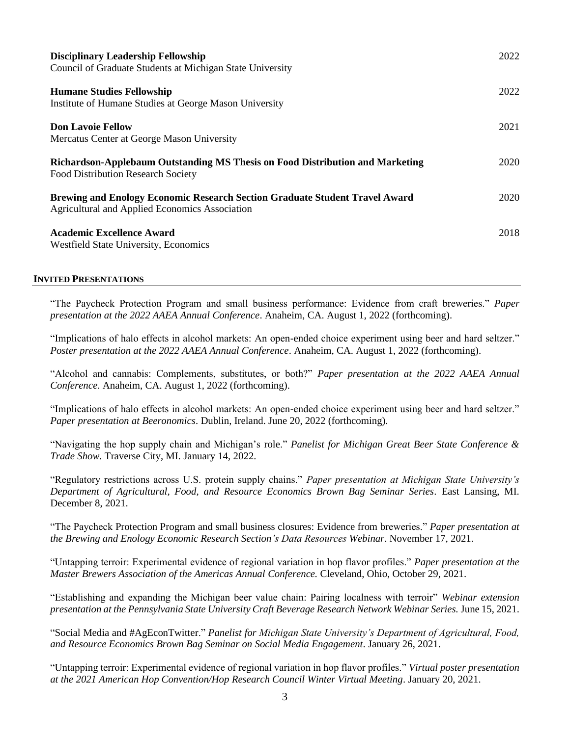| <b>Disciplinary Leadership Fellowship</b><br>Council of Graduate Students at Michigan State University                               | 2022 |
|--------------------------------------------------------------------------------------------------------------------------------------|------|
| <b>Humane Studies Fellowship</b><br>Institute of Humane Studies at George Mason University                                           | 2022 |
| <b>Don Lavoie Fellow</b><br>Mercatus Center at George Mason University                                                               | 2021 |
| Richardson-Applebaum Outstanding MS Thesis on Food Distribution and Marketing<br><b>Food Distribution Research Society</b>           | 2020 |
| <b>Brewing and Enology Economic Research Section Graduate Student Travel Award</b><br>Agricultural and Applied Economics Association | 2020 |
| <b>Academic Excellence Award</b><br><b>Westfield State University, Economics</b>                                                     | 2018 |

# **INVITED PRESENTATIONS**

"The Paycheck Protection Program and small business performance: Evidence from craft breweries." *Paper presentation at the 2022 AAEA Annual Conference*. Anaheim, CA. August 1, 2022 (forthcoming).

"Implications of halo effects in alcohol markets: An open-ended choice experiment using beer and hard seltzer." *Poster presentation at the 2022 AAEA Annual Conference*. Anaheim, CA. August 1, 2022 (forthcoming).

"Alcohol and cannabis: Complements, substitutes, or both?" *Paper presentation at the 2022 AAEA Annual Conference*. Anaheim, CA. August 1, 2022 (forthcoming).

"Implications of halo effects in alcohol markets: An open-ended choice experiment using beer and hard seltzer." *Paper presentation at Beeronomics*. Dublin, Ireland. June 20, 2022 (forthcoming).

"Navigating the hop supply chain and Michigan's role." *Panelist for Michigan Great Beer State Conference & Trade Show.* Traverse City, MI. January 14, 2022.

"Regulatory restrictions across U.S. protein supply chains." *Paper presentation at Michigan State University's Department of Agricultural, Food, and Resource Economics Brown Bag Seminar Series.* East Lansing, MI. December 8, 2021.

"The Paycheck Protection Program and small business closures: Evidence from breweries." *Paper presentation at the Brewing and Enology Economic Research Section's Data Resources Webinar*. November 17, 2021.

"Untapping terroir: Experimental evidence of regional variation in hop flavor profiles." *Paper presentation at the Master Brewers Association of the Americas Annual Conference.* Cleveland, Ohio, October 29, 2021.

"Establishing and expanding the Michigan beer value chain: Pairing localness with terroir" *Webinar extension presentation at the Pennsylvania State University Craft Beverage Research Network Webinar Series.* June 15, 2021.

"Social Media and #AgEconTwitter." *Panelist for Michigan State University's Department of Agricultural, Food, and Resource Economics Brown Bag Seminar on Social Media Engagement*. January 26, 2021.

"Untapping terroir: Experimental evidence of regional variation in hop flavor profiles." *Virtual poster presentation at the 2021 American Hop Convention/Hop Research Council Winter Virtual Meeting*. January 20, 2021.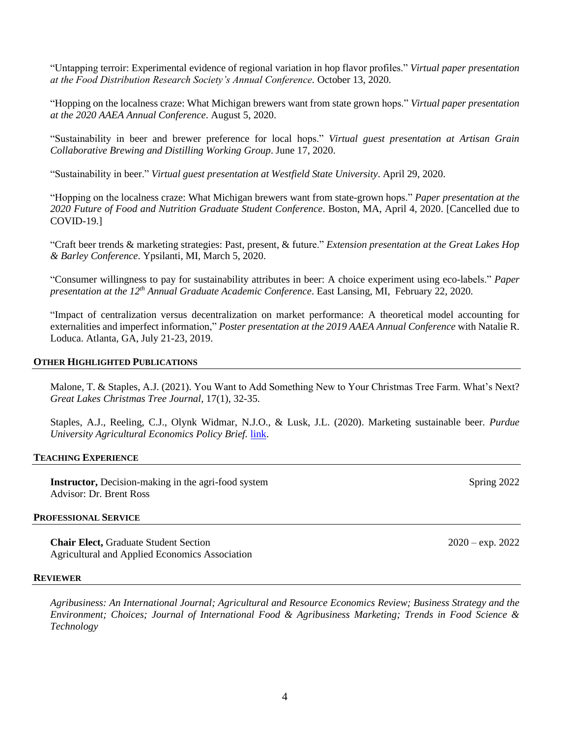"Untapping terroir: Experimental evidence of regional variation in hop flavor profiles." *Virtual paper presentation at the Food Distribution Research Society's Annual Conference.* October 13, 2020.

"Hopping on the localness craze: What Michigan brewers want from state grown hops." *Virtual paper presentation at the 2020 AAEA Annual Conference*. August 5, 2020.

"Sustainability in beer and brewer preference for local hops." *Virtual guest presentation at Artisan Grain Collaborative Brewing and Distilling Working Group*. June 17, 2020.

"Sustainability in beer." *Virtual guest presentation at Westfield State University*. April 29, 2020.

"Hopping on the localness craze: What Michigan brewers want from state-grown hops." *Paper presentation at the 2020 Future of Food and Nutrition Graduate Student Conference*. Boston, MA, April 4, 2020. [Cancelled due to COVID-19.]

"Craft beer trends & marketing strategies: Past, present, & future." *Extension presentation at the Great Lakes Hop & Barley Conference*. Ypsilanti, MI, March 5, 2020.

"Consumer willingness to pay for sustainability attributes in beer: A choice experiment using eco-labels." *Paper presentation at the 12th Annual Graduate Academic Conference*. East Lansing, MI, February 22, 2020.

"Impact of centralization versus decentralization on market performance: A theoretical model accounting for externalities and imperfect information," *Poster presentation at the 2019 AAEA Annual Conference* with Natalie R. Loduca. Atlanta, GA, July 21-23, 2019.

## **OTHER HIGHLIGHTED PUBLICATIONS**

Malone, T. & Staples, A.J. (2021). You Want to Add Something New to Your Christmas Tree Farm. What's Next? *Great Lakes Christmas Tree Journal,* 17(1), 32-35.

Staples, A.J., Reeling, C.J., Olynk Widmar, N.J.O., & Lusk, J.L. (2020). Marketing sustainable beer. *Purdue University Agricultural Economics Policy Brief.* [link.](https://ag.purdue.edu/agecon/Pages/PAEPB-2020_15.aspx)

## **TEACHING EXPERIENCE**

**Instructor,** Decision-making in the agri-food system Spring 2022 Advisor: Dr. Brent Ross

### **PROFESSIONAL SERVICE**

**Chair Elect,** Graduate Student Section 2020 – exp. 2022 Agricultural and Applied Economics Association

### **REVIEWER**

*Agribusiness: An International Journal; Agricultural and Resource Economics Review; Business Strategy and the Environment; Choices; Journal of International Food & Agribusiness Marketing; Trends in Food Science & Technology*